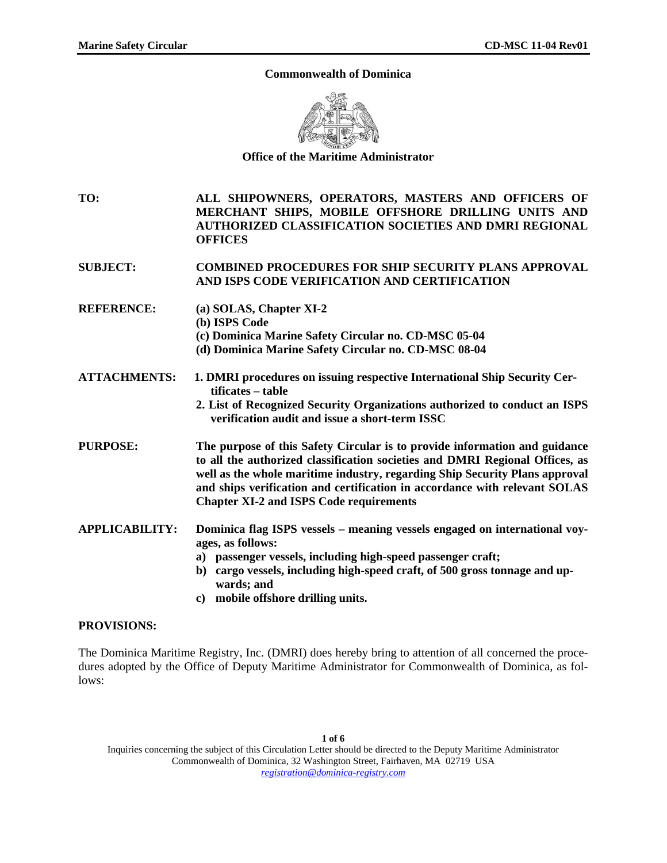### **Commonwealth of Dominica**



**Office of the Maritime Administrator** 

**TO: ALL SHIPOWNERS, OPERATORS, MASTERS AND OFFICERS OF MERCHANT SHIPS, MOBILE OFFSHORE DRILLING UNITS AND AUTHORIZED CLASSIFICATION SOCIETIES AND DMRI REGIONAL OFFICES** 

**SUBJECT: COMBINED PROCEDURES FOR SHIP SECURITY PLANS APPROVAL AND ISPS CODE VERIFICATION AND CERTIFICATION** 

- **REFERENCE: (a) SOLAS, Chapter XI-2** 
	- **(b) ISPS Code**
	- **(c) Dominica Marine Safety Circular no. CD-MSC 05-04**
	- **(d) Dominica Marine Safety Circular no. CD-MSC 08-04**
- **ATTACHMENTS: 1. DMRI procedures on issuing respective International Ship Security Certificates – table** 
	- **2. List of Recognized Security Organizations authorized to conduct an ISPS verification audit and issue a short-term ISSC**

**PURPOSE: The purpose of this Safety Circular is to provide information and guidance to all the authorized classification societies and DMRI Regional Offices, as well as the whole maritime industry, regarding Ship Security Plans approval and ships verification and certification in accordance with relevant SOLAS Chapter XI-2 and ISPS Code requirements** 

- **APPLICABILITY: Dominica flag ISPS vessels meaning vessels engaged on international voyages, as follows:** 
	- **a) passenger vessels, including high-speed passenger craft;**
	- **b) cargo vessels, including high-speed craft, of 500 gross tonnage and upwards; and**
	- **c) mobile offshore drilling units.**

# **PROVISIONS:**

The Dominica Maritime Registry, Inc. (DMRI) does hereby bring to attention of all concerned the procedures adopted by the Office of Deputy Maritime Administrator for Commonwealth of Dominica, as follows:

Inquiries concerning the subject of this Circulation Letter should be directed to the Deputy Maritime Administrator Commonwealth of Dominica, 32 Washington Street, Fairhaven, MA 02719 USA *registration@dominica-registry.com*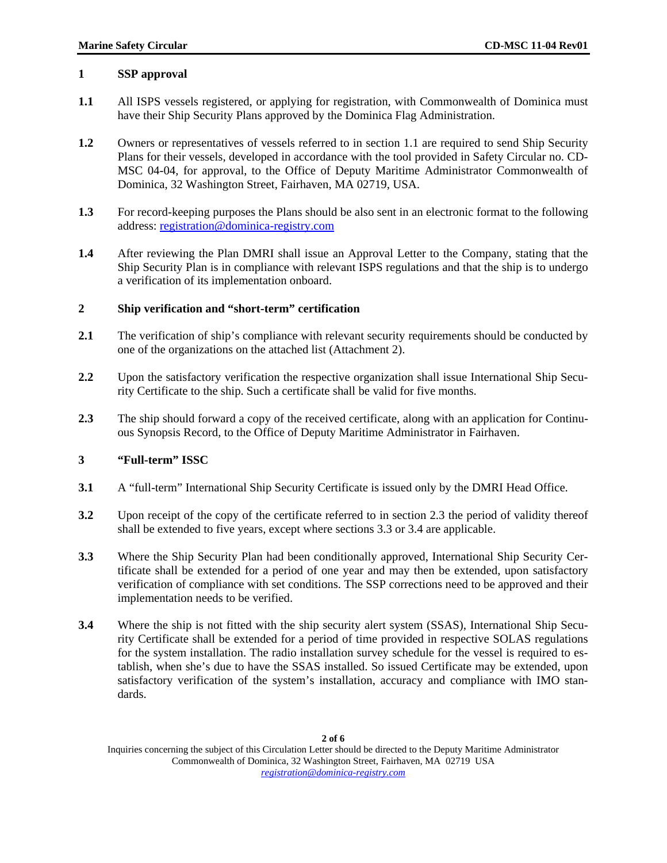# **1 SSP approval**

- **1.1** All ISPS vessels registered, or applying for registration, with Commonwealth of Dominica must have their Ship Security Plans approved by the Dominica Flag Administration.
- **1.2** Owners or representatives of vessels referred to in section 1.1 are required to send Ship Security Plans for their vessels, developed in accordance with the tool provided in Safety Circular no. CD-MSC 04-04, for approval, to the Office of Deputy Maritime Administrator Commonwealth of Dominica, 32 Washington Street, Fairhaven, MA 02719, USA.
- **1.3** For record-keeping purposes the Plans should be also sent in an electronic format to the following address: [registration@dominica-registry.com](mailto:registration@dominica-registry.com)
- **1.4** After reviewing the Plan DMRI shall issue an Approval Letter to the Company, stating that the Ship Security Plan is in compliance with relevant ISPS regulations and that the ship is to undergo a verification of its implementation onboard.

### **2 Ship verification and "short-term" certification**

- 2.1 The verification of ship's compliance with relevant security requirements should be conducted by one of the organizations on the attached list (Attachment 2).
- **2.2** Upon the satisfactory verification the respective organization shall issue International Ship Security Certificate to the ship. Such a certificate shall be valid for five months.
- **2.3** The ship should forward a copy of the received certificate, along with an application for Continuous Synopsis Record, to the Office of Deputy Maritime Administrator in Fairhaven.

### **3 "Full-term" ISSC**

- **3.1** A "full-term" International Ship Security Certificate is issued only by the DMRI Head Office.
- **3.2** Upon receipt of the copy of the certificate referred to in section 2.3 the period of validity thereof shall be extended to five years, except where sections 3.3 or 3.4 are applicable.
- **3.3** Where the Ship Security Plan had been conditionally approved, International Ship Security Certificate shall be extended for a period of one year and may then be extended, upon satisfactory verification of compliance with set conditions. The SSP corrections need to be approved and their implementation needs to be verified.
- **3.4** Where the ship is not fitted with the ship security alert system (SSAS), International Ship Security Certificate shall be extended for a period of time provided in respective SOLAS regulations for the system installation. The radio installation survey schedule for the vessel is required to establish, when she's due to have the SSAS installed. So issued Certificate may be extended, upon satisfactory verification of the system's installation, accuracy and compliance with IMO standards.

Inquiries concerning the subject of this Circulation Letter should be directed to the Deputy Maritime Administrator Commonwealth of Dominica, 32 Washington Street, Fairhaven, MA 02719 USA *registration@dominica-registry.com*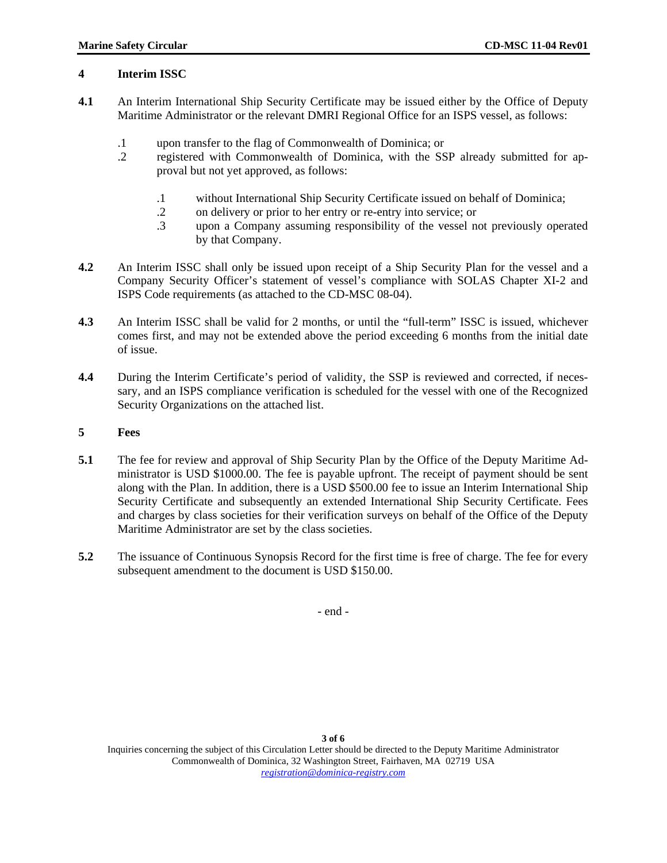# **4 Interim ISSC**

- **4.1** An Interim International Ship Security Certificate may be issued either by the Office of Deputy Maritime Administrator or the relevant DMRI Regional Office for an ISPS vessel, as follows:
	- .1 upon transfer to the flag of Commonwealth of Dominica; or
	- .2 registered with Commonwealth of Dominica, with the SSP already submitted for approval but not yet approved, as follows:
		- .1 without International Ship Security Certificate issued on behalf of Dominica;
		- .2 on delivery or prior to her entry or re-entry into service; or
		- .3 upon a Company assuming responsibility of the vessel not previously operated by that Company.
- **4.2** An Interim ISSC shall only be issued upon receipt of a Ship Security Plan for the vessel and a Company Security Officer's statement of vessel's compliance with SOLAS Chapter XI-2 and ISPS Code requirements (as attached to the CD-MSC 08-04).
- **4.3** An Interim ISSC shall be valid for 2 months, or until the "full-term" ISSC is issued, whichever comes first, and may not be extended above the period exceeding 6 months from the initial date of issue.
- **4.4** During the Interim Certificate's period of validity, the SSP is reviewed and corrected, if necessary, and an ISPS compliance verification is scheduled for the vessel with one of the Recognized Security Organizations on the attached list.
- **5 Fees**
- **5.1** The fee for review and approval of Ship Security Plan by the Office of the Deputy Maritime Administrator is USD \$1000.00. The fee is payable upfront. The receipt of payment should be sent along with the Plan. In addition, there is a USD \$500.00 fee to issue an Interim International Ship Security Certificate and subsequently an extended International Ship Security Certificate. Fees and charges by class societies for their verification surveys on behalf of the Office of the Deputy Maritime Administrator are set by the class societies.
- **5.2** The issuance of Continuous Synopsis Record for the first time is free of charge. The fee for every subsequent amendment to the document is USD \$150.00.

- end -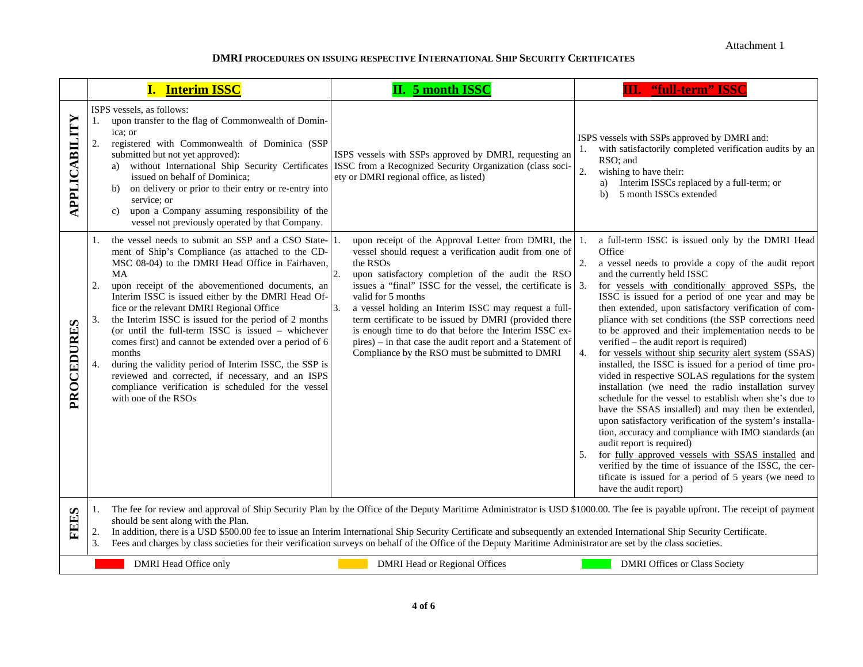#### **DMRI PROCEDURES ON ISSUING RESPECTIVE INTERNATIONAL SHIP SECURITY CERTIFICATES**

|               | <b>I.</b> Interim ISSC                                                                                                                                                                                                                                                                                                                                                                                                                                                                                                                                                                                                                                                                                                            | <b>II. 5 month ISSC</b>                                                                                                                                                                                                                                                                                                                                                                                                                                                                                                                                            | <b>III.</b> "full-term" ISSC                                                                                                                                                                                                                                                                                                                                                                                                                                                                                                                                                                                                                                                                                                                                                                                                                                                                                                                                                                                                                                                                                                                                                                                |
|---------------|-----------------------------------------------------------------------------------------------------------------------------------------------------------------------------------------------------------------------------------------------------------------------------------------------------------------------------------------------------------------------------------------------------------------------------------------------------------------------------------------------------------------------------------------------------------------------------------------------------------------------------------------------------------------------------------------------------------------------------------|--------------------------------------------------------------------------------------------------------------------------------------------------------------------------------------------------------------------------------------------------------------------------------------------------------------------------------------------------------------------------------------------------------------------------------------------------------------------------------------------------------------------------------------------------------------------|-------------------------------------------------------------------------------------------------------------------------------------------------------------------------------------------------------------------------------------------------------------------------------------------------------------------------------------------------------------------------------------------------------------------------------------------------------------------------------------------------------------------------------------------------------------------------------------------------------------------------------------------------------------------------------------------------------------------------------------------------------------------------------------------------------------------------------------------------------------------------------------------------------------------------------------------------------------------------------------------------------------------------------------------------------------------------------------------------------------------------------------------------------------------------------------------------------------|
| APPLICABILITY | ISPS vessels, as follows:<br>upon transfer to the flag of Commonwealth of Domin-<br>1.<br>ica: or<br>2.<br>registered with Commonwealth of Dominica (SSP<br>submitted but not yet approved):<br>a)<br>issued on behalf of Dominica;<br>on delivery or prior to their entry or re-entry into<br>b)<br>service; or<br>upon a Company assuming responsibility of the<br>$\mathbf{c}$<br>vessel not previously operated by that Company.                                                                                                                                                                                                                                                                                              | ISPS vessels with SSPs approved by DMRI, requesting an<br>without International Ship Security Certificates ISSC from a Recognized Security Organization (class soci-<br>ety or DMRI regional office, as listed)                                                                                                                                                                                                                                                                                                                                                    | ISPS vessels with SSPs approved by DMRI and:<br>with satisfactorily completed verification audits by an<br>1.<br>RSO: and<br>$\overline{2}$ .<br>wishing to have their:<br>Interim ISSCs replaced by a full-term; or<br>a)<br>5 month ISSCs extended<br>b)                                                                                                                                                                                                                                                                                                                                                                                                                                                                                                                                                                                                                                                                                                                                                                                                                                                                                                                                                  |
| PROCEDURES    | the vessel needs to submit an SSP and a CSO State-<br>1.<br>ment of Ship's Compliance (as attached to the CD-<br>MSC 08-04) to the DMRI Head Office in Fairhaven,<br>MA<br>2.<br>upon receipt of the abovementioned documents, an<br>Interim ISSC is issued either by the DMRI Head Of-<br>fice or the relevant DMRI Regional Office<br>the Interim ISSC is issued for the period of 2 months<br>3.<br>(or until the full-term ISSC is issued - whichever<br>comes first) and cannot be extended over a period of 6<br>months<br>4.<br>during the validity period of Interim ISSC, the SSP is<br>reviewed and corrected, if necessary, and an ISPS<br>compliance verification is scheduled for the vessel<br>with one of the RSOs | upon receipt of the Approval Letter from DMRI, the<br>vessel should request a verification audit from one of<br>the RSOs<br>upon satisfactory completion of the audit the RSO<br>issues a "final" ISSC for the vessel, the certificate is 3.<br>valid for 5 months<br>3.<br>a vessel holding an Interim ISSC may request a full-<br>term certificate to be issued by DMRI (provided there<br>is enough time to do that before the Interim ISSC ex-<br>pires) – in that case the audit report and a Statement of<br>Compliance by the RSO must be submitted to DMRI | a full-term ISSC is issued only by the DMRI Head<br>Office<br>a vessel needs to provide a copy of the audit report<br>2.<br>and the currently held ISSC<br>for vessels with conditionally approved SSPs, the<br>ISSC is issued for a period of one year and may be<br>then extended, upon satisfactory verification of com-<br>pliance with set conditions (the SSP corrections need<br>to be approved and their implementation needs to be<br>verified – the audit report is required)<br>for vessels without ship security alert system (SSAS)<br>4.<br>installed, the ISSC is issued for a period of time pro-<br>vided in respective SOLAS regulations for the system<br>installation (we need the radio installation survey<br>schedule for the vessel to establish when she's due to<br>have the SSAS installed) and may then be extended,<br>upon satisfactory verification of the system's installa-<br>tion, accuracy and compliance with IMO standards (an<br>audit report is required)<br>for fully approved vessels with SSAS installed and<br>5.<br>verified by the time of issuance of the ISSC, the cer-<br>tificate is issued for a period of 5 years (we need to<br>have the audit report) |
| <b>FEES</b>   | The fee for review and approval of Ship Security Plan by the Office of the Deputy Maritime Administrator is USD \$1000.00. The fee is payable upfront. The receipt of payment<br>1.<br>should be sent along with the Plan.<br>2.<br>In addition, there is a USD \$500.00 fee to issue an Interim International Ship Security Certificate and subsequently an extended International Ship Security Certificate.<br>3.<br>Fees and charges by class societies for their verification surveys on behalf of the Office of the Deputy Maritime Administrator are set by the class societies.                                                                                                                                           |                                                                                                                                                                                                                                                                                                                                                                                                                                                                                                                                                                    |                                                                                                                                                                                                                                                                                                                                                                                                                                                                                                                                                                                                                                                                                                                                                                                                                                                                                                                                                                                                                                                                                                                                                                                                             |
|               | <b>DMRI</b> Head Office only                                                                                                                                                                                                                                                                                                                                                                                                                                                                                                                                                                                                                                                                                                      | <b>DMRI Head or Regional Offices</b>                                                                                                                                                                                                                                                                                                                                                                                                                                                                                                                               | <b>DMRI Offices or Class Society</b>                                                                                                                                                                                                                                                                                                                                                                                                                                                                                                                                                                                                                                                                                                                                                                                                                                                                                                                                                                                                                                                                                                                                                                        |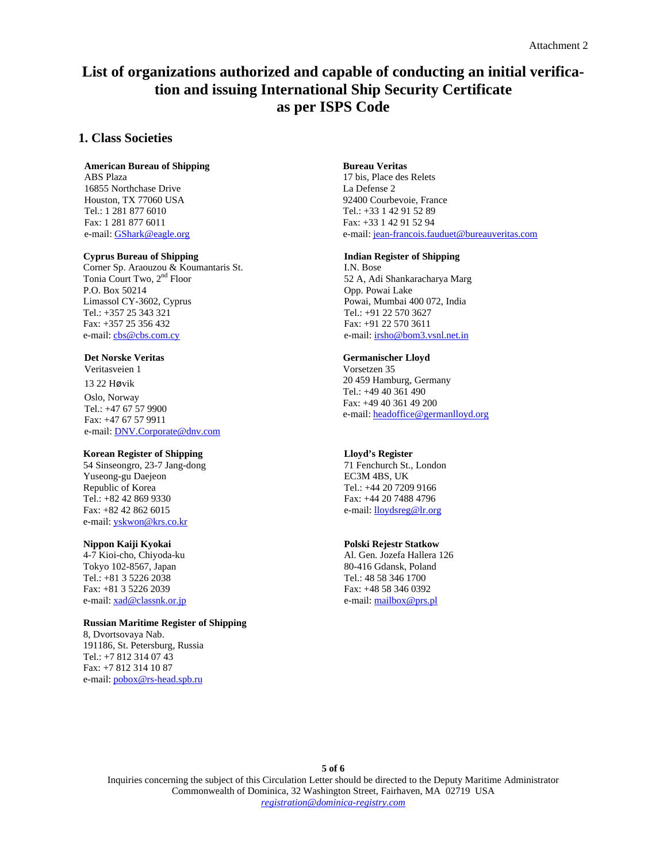# **List of organizations authorized and capable of conducting an initial verification and issuing International Ship Security Certificate as per ISPS Code**

### **1. Class Societies**

# **American Bureau of Shipping**

ABS Plaza 16855 Northchase Drive Houston, TX 77060 USA Tel.: 1 281 877 6010 Fax: 1 281 877 6011 e-mail: [GShark@eagle.org](mailto:GShark@eagle.org)

#### **Cyprus Bureau of Shipping**

Corner Sp. Araouzou & Koumantaris St. Tonia Court Two, 2<sup>nd</sup> Floor P.O. Box 50214 Limassol CY-3602, Cyprus Tel.: +357 25 343 321 Fax: +357 25 356 432 e-mail: [cbs@cbs.com.cy](mailto:cbs@cbs.com.cy)

#### **Det Norske Veritas**

Veritasveien 1 13 22 Høvik Oslo, Norway Tel.: +47 67 57 9900 Fax: +47 67 57 9911 e-mail: [DNV.Corporate@dnv.com](mailto:DNV.Corporate@dnv.com)

#### **Korean Register of Shipping**

54 Sinseongro, 23-7 Jang-dong Yuseong-gu Daejeon Republic of Korea Tel.: +82 42 869 9330 Fax: +82 42 862 6015 e-mail: [yskwon@krs.co.kr](mailto:yskwon@krs.co.kr)

#### **Nippon Kaiji Kyokai**

4-7 Kioi-cho, Chiyoda-ku Tokyo 102-8567, Japan Tel.: +81 3 5226 2038 Fax: +81 3 5226 2039 e-mail: [xad@classnk.or.jp](mailto:xad@classnk.or.jp)

#### **Russian Maritime Register of Shipping**

8, Dvortsovaya Nab. 191186, St. Petersburg, Russia Tel.: +7 812 314 07 43 Fax: +7 812 314 10 87 e-mail: [pobox@rs-head.spb.ru](mailto:pobox@rs-head.spb.ru)

#### **Bureau Veritas**

17 bis, Place des Relets La Defense 2 92400 Courbevoie, France Tel.: +33 1 42 91 52 89 Fax: +33 1 42 91 52 94 e-mail: [jean-francois.fauduet@bureauveritas.com](mailto:jean-francois.fauduet@bureauveritas.com)

#### **Indian Register of Shipping**

I.N. Bose 52 A, Adi Shankaracharya Marg Opp. Powai Lake Powai, Mumbai 400 072, India Tel.: +91 22 570 3627 Fax: +91 22 570 3611 e-mail: [irsho@bom3.vsnl.net.in](mailto:irsho@bom3.vsnl.net.in)

#### **Germanischer Lloyd**

Vorsetzen 35 20 459 Hamburg, Germany Tel.: +49 40 361 490 Fax: +49 40 361 49 200 e-mail: [headoffice@germanlloyd.org](mailto:headoffice@germanlloyd.org)

#### **Lloyd's Register**

71 Fenchurch St., London EC3M 4BS, UK Tel.: +44 20 7209 9166 Fax: +44 20 7488 4796 e-mail: [lloydsreg@lr.org](mailto:lloydsreg@lr.org)

#### **Polski Rejestr Statkow**

Al. Gen. Jozefa Hallera 126 80-416 Gdansk, Poland Tel.: 48 58 346 1700 Fax: +48 58 346 0392 e-mail: [mailbox@prs.pl](mailto:mailbox@prs.pl)

Inquiries concerning the subject of this Circulation Letter should be directed to the Deputy Maritime Administrator Commonwealth of Dominica, 32 Washington Street, Fairhaven, MA 02719 USA *registration@dominica-registry.com*

### **5 of 6**